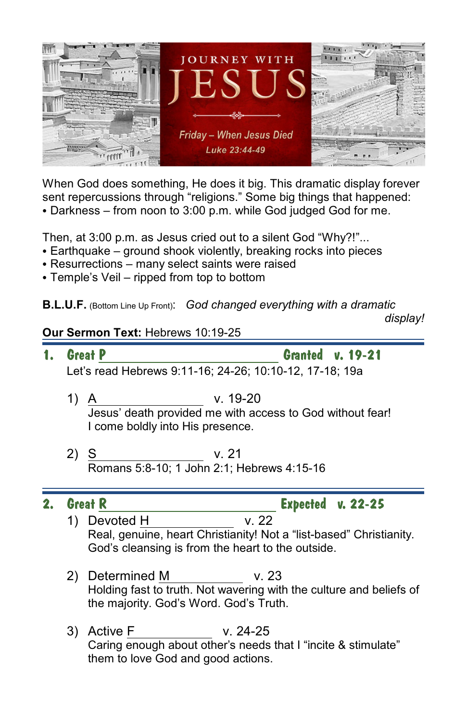

When God does something, He does it big. This dramatic display forever sent repercussions through "religions." Some big things that happened: • Darkness – from noon to 3:00 p.m. while God judged God for me.

Then, at 3:00 p.m. as Jesus cried out to a silent God "Why?!"...

- $\bullet$  Earthquake ground shook violently, breaking rocks into pieces
- Resurrections many select saints were raised
- $\bullet$  Temple's Veil ripped from top to bottom

**B.L.U.F.** (Bottom Line Up Front): *God changed everything with a dramatic*

 *display!*

## **Our Sermon Text:** Hebrews 10:19-25

- **1.** Great <u>P Granted</u> v. 19-21 Let's read Hebrews 9:11-16; 24-26; 10:10-12, 17-18; 19a
	- 1) A v. 19-20 Jesus' death provided me with access to God without fear! I come boldly into His presence.
	- 2) <u>S</u> v. 21 Romans 5:8-10; 1 John 2:1; Hebrews 4:15-16

**2. Great R Expected v. 22-25**

- 1) Devoted H v. 22 Real, genuine, heart Christianity! Not a "list-based" Christianity. God's cleansing is from the heart to the outside.
- 2) Determined M v. 23 Holding fast to truth. Not wavering with the culture and beliefs of the majority. God's Word. God's Truth.
- 3) Active F v. 24-25 Caring enough about other's needs that I "incite & stimulate" them to love God and good actions.